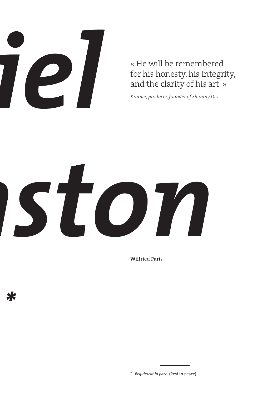

Ж

**Wilfried Paris** 

\* *Requiescat in pace.* (Rest in peace).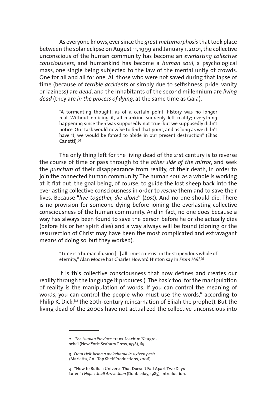As everyone knows, ever since the *great metamorphosis* that took place between the solar eclipse on August 11, 1999 and January 1, 2001, the collective unconscious of the human community has become an *everlasting collective consciousness*, and humankind has become a *human soul*, a psychological mass, one single being subjected to the law of the mental unity of crowds. One for all and all for one. All those who were not saved during that lapse of time (because of *terrible accidents* or simply due to selfishness, pride, vanity or laziness) are *dead*, and the inhabitants of the second millennium are *living dead* (they are *in the process of dying*, at the same time as Gaia).

"A tormenting thought: as of a certain point, history was no longer real. Without noticing it, all mankind suddenly left reality; everything happening since then was supposedly not true; but we supposedly didn't notice. Our task would now be to find that point, and as long as we didn't have it, we would be forced to abide in our present destruction" (Elias Canetti).<sup>(2)</sup>

The only thing left for the living dead of the 21st century is to reverse the course of time or pass through to the *other side of the mirror*, and seek the *punctum* of their disappearance from reality, of their death, in order to join the connected human community. The human soul as a whole is working at it flat out, the goal being, of course, to guide the lost sheep back into the everlasting collective consciousness in order to *rescue* them and to save their lives. Because "*live together, die alone*" (*Lost*). And no one should die. There is no provision for someone dying before joining the everlasting collective consciousness of the human community. And in fact, no one does because a way has always been found to save the person before he or she actually dies (before his or her spirit dies) and a way always will be found (cloning or the resurrection of Christ may have been the most complicated and extravagant means of doing so, but they worked).

"Time is a human illusion […] all times co-exist in the stupendous whole of eternity," Alan Moore has Charles Howard Hinton say in *From Hell*. (3)

It is this collective consciousness that now defines and creates our reality through the language it produces ("The basic tool for the manipulation of reality is the manipulation of words. If you can control the meaning of words, you can control the people who must use the words," according to Philip K. Dick,<sup>(4)</sup> the 20th-century reincarnation of Elijah the prophet). But the living dead of the 2000s have not actualized the collective unconscious into

<sup>2</sup> The Human Province, trans. Joachim Neugroschel (New York: Seabury Press,1978), 69.

<sup>3</sup>  *From Hell: being a melodrama in sixteen parts* (Marietta, GA : Top Shelf Productions, 2006).

<sup>4</sup>  "How to Build a Universe That Doesn't Fall Apart Two Days Later," *I Hope I Shall Arrive Soon* (Doubleday,1985), introduction.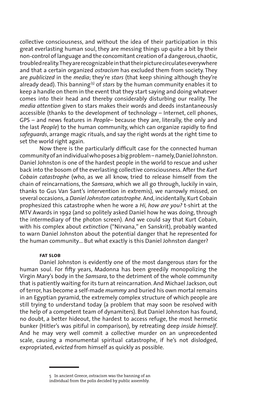collective consciousness, and without the idea of their participation in this great everlasting human soul, they are messing things up quite a bit by their non-control of language and the concomitant creation of a dangerous, chaotic, troubled reality. They are recognizable in that their picture circulates everywhere and that a certain organized *ostracism* has excluded them from society. They are *publicized* in the *media*; they're *stars* (that keep shining although they're already dead). This banning(5) of *stars* by the human community enables it to keep a handle on them in the event that they start saying and doing whatever comes into their head and thereby considerably disturbing our reality. The *media attention* given to stars makes their words and deeds instantaneously accessible (thanks to the development of technology – Internet, cell phones, GPS – and news features in *People*– because they are, literally, the only and the last *People*) to the human community, which can organize rapidly to find *safeguards*, arrange magic rituals, and say the right words at the right time to set the world right again.

Now there is the particularly difficult case for the connected human community of an individual who poses a big problem – namely, Daniel Johnston. Daniel Johnston is one of the hardest people in the world to rescue and usher back into the bosom of the everlasting collective consciousness. After the *Kurt Cobain catastrophe* (who, as we all know, tried to release himself from the chain of reincarnations, the *Samsara*, which we all go through, luckily in vain, thanks to Gus Van Sant's intervention in extremis), we narrowly missed, on several occasions, a *Daniel Johnston catastrophe*. And, incidentally, Kurt Cobain prophesized this catastrophe when he wore a *Hi, how are you?* t-shirt at the MTV Awards in 1992 (and so politely asked Daniel how he was doing, through the intermediary of the photon screen). And we could say that Kurt Cobain, with his complex about *extinction* ("Nirvana," en Sanskrit), probably wanted to warn Daniel Johnston about the potential danger that he represented for the human community… But what exactly is this Daniel Johnston danger?

### **fat slob**

Daniel Johnston is evidently one of the most dangerous *stars* for the human soul. For fifty years, Madonna has been greedily monopolizing the Virgin Mary's body in the *Samsara*, to the detriment of the whole community that is patiently waiting for its turn at reincarnation. And Michael Jackson, out of terror, has become a self-made *mummy* and buried his own mortal remains in an Egyptian pyramid, the extremely complex structure of which people are still trying to understand today (a problem that may soon be resolved with the help of a competent team of dynamiters). But Daniel Johnston has found, no doubt, a better hideout, the hardest to access refuge, the most hermetic bunker (Hitler's was pitiful in comparison), by retreating deep *inside himself*. And he may very well commit a collective murder on an unprecedented scale, causing a monumental spiritual catastrophe, if he's not dislodged, expropriated, *evicted* from himself as quickly as possible.

<sup>5</sup>  In ancient Greece, ostracism was the banning of an individual from the polis decided by public assembly.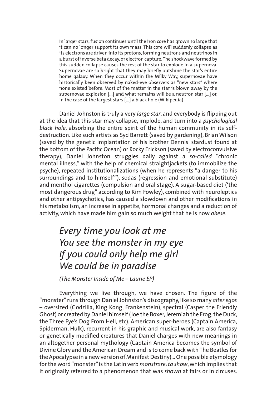In larger stars, fusion continues until the iron core has grown so large that it can no longer support its own mass. This core will suddenly collapse as its electrons are driven into its protons, forming neutrons and neutrinos in a burst of inverse beta decay, or electron capture. The shockwave formed by this sudden collapse causes the rest of the star to explode in a supernova. Supernovae are so bright that they may briefly outshine the star's entire home galaxy. When they occur within the Milky Way, supernovae have historically been observed by naked-eye observers as "new stars" where none existed before. Most of the matter in the star is blown away by the supernovae explosion […] and what remains will be a neutron star […] or, in the case of the largest stars […] a black hole (Wikipedia)

Daniel Johnston is truly a very *large star*, and everybody is flipping out at the idea that this star may collapse, implode, and turn into a *psychological black hole*, absorbing the entire spirit of the human community in its selfdestruction. Like such artists as Syd Barrett (saved by gardening), Brian Wilson (saved by the genetic implantation of his brother Dennis' stardust found at the bottom of the Pacific Ocean) or Rocky Erickson (saved by electroconvulsive therapy), Daniel Johnston struggles daily against a *so-called* "chronic mental illness," with the help of chemical straightjackets (to immobilize the psyche), repeated institutionalizations (when he represents "a danger to his surroundings and to himself"), sodas (regression and emotional substitute) and menthol cigarettes (compulsion and oral stage). A sugar-based diet ('the most dangerous drug" according to Kim Fowley), combined with neuroleptics and other antipsychotics, has caused a slowdown and other modifications in his metabolism, an increase in appetite, hormonal changes and a reduction of activity, which have made him gain so much weight that he is now *obese*.

# *Every time you look at me You see the monster in my eye If you could only help me girl We could be in paradise*

*(The Monster Inside of Me – Laurie EP)*

Everything we live through, we have chosen. The figure of the "monster" runs through Daniel Johnston's discography, like so many *alter egos* – oversized (Godzilla, King Kong, Frankenstein), spectral (Casper the Friendly Ghost) or created by Daniel himself (Joe the Boxer, Jeremiah the Frog, the Duck, the Three Eye's Dog From Hell, etc). American super-heroes (Captain America, Spiderman, Hulk), recurrent in his graphic and musical work, are also fantasy or genetically modified creatures that Daniel charges with new meanings in an altogether personal mythology (Captain America becomes the symbol of Divine Glory and the American Dream and is to come back with The Beatles for the Apocalypse in a new version of Manifest Destiny)… One possible etymology for the word "monster" is the Latin verb *monstrare*: *to show*, which implies that it originally referred to a phenomenon that was *shown* at fairs or in circuses.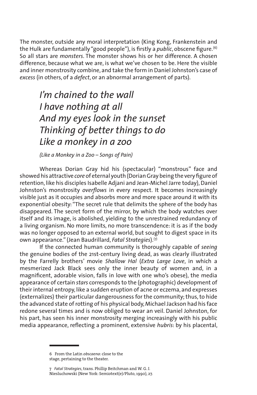The monster, outside any moral interpretation (King Kong, Frankenstein and the Hulk are fundamentally "good people"), is firstly a *public*, obscene figure.(6) So all stars are *monsters*. The monster shows his or her difference. A chosen difference, because what we are, is what we've chosen to be. Here the visible and inner monstrosity combine, and take the form in Daniel Johnston's case of *excess* (in others, of a *defect*, or an abnormal arrangement of parts).

*I'm chained to the wall I have nothing at all And my eyes look in the sunset Thinking of better things to do Like a monkey in a zoo*

*(Like a Monkey in a Zoo – Songs of Pain)*

Whereas Dorian Gray hid his (spectacular) "monstrous" face and showed his attractive *core* of eternal youth (Dorian Gray being the very figure of retention, like his disciples Isabelle Adjani and Jean-Michel Jarre today), Daniel Johnston's monstrosity *overflows* in every respect. It becomes increasingly visible just as it occupies and absorbs more and more space around it with its exponential obesity: "The secret rule that delimits the sphere of the body has disappeared. The secret form of the mirror, by which the body watches over itself and its image, is abolished, yielding to the unrestrained redundancy of a living organism. No more limits, no more transcendence: it is as if the body was no longer opposed to an external world, but sought to digest space in its own appearance." (Jean Baudrillard, *Fatal Strategies*).(7)

If the connected human community is thoroughly capable of *seeing*  the genuine bodies of the 21st-century living dead, as was clearly illustrated by the Farrelly brothers' movie *Shallow Hal* (*Extra Large Love*, in which a mesmerized Jack Black sees only the inner beauty of women and, in a magnificent, adorable vision, falls in love with one who's obese), the media appearance of certain *stars* corresponds to the (photographic) development of their internal entropy, like a sudden eruption of acne or eczema, and expresses (externalizes) their particular dangerousness for the community; thus, to hide the advanced state of rotting of his physical body, Michael Jackson had his face redone several times and is now obliged to wear an veil. Daniel Johnston, for his part, has seen his inner monstrosity merging increasingly with his public media appearance, reflecting a prominent, extensive *hubris*: by his placental,

<sup>6</sup>  From the Latin *obscaena*: close to the stage, pertaining to the theater.

<sup>7</sup>  *Fatal Strategies*,trans. Phillip Beitchman and W. G. J. Niesluchowski (New York: Semiotext(e)/Pluto,1990), 27.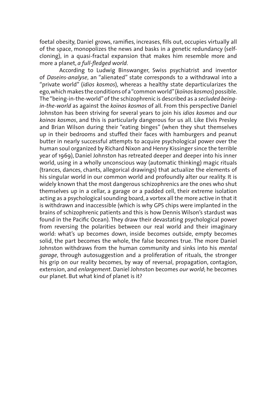foetal obesity, Daniel grows, ramifies, increases, fills out, occupies virtually all of the space, monopolizes the news and basks in a genetic redundancy (selfcloning), in a quasi-fractal expansion that makes him resemble more and more a planet, *a full-fledged world*.

According to Ludwig Binswanger, Swiss psychiatrist and inventor of *Daseins-analyse*, an "alienated" state corresponds to a withdrawal into a "private world" (*idios kosmos*), whereas a healthy state departicularizes the ego, which makes the conditions of a "common world" (*koïnos kosmos*) possible. The "being-in-the-world" of the schizophrenic is described as a *secluded beingin-the-world* as against the *koïnos kosmos* of all. From this perspective Daniel Johnston has been striving for several years to join his *idios kosmos* and our *koinos kosmos*, and this is particularly dangerous for us all. Like Elvis Presley and Brian Wilson during their "eating binges" (when they shut themselves up in their bedrooms and stuffed their faces with hamburgers and peanut butter in nearly successful attempts to acquire psychological power over the human soul organized by Richard Nixon and Henry Kissinger since the terrible year of 1969), Daniel Johnston has retreated deeper and deeper into his inner world, using in a wholly unconscious way (automatic thinking) magic rituals (trances, dances, chants, allegorical drawings) that actualize the elements of his singular world in our common world and profoundly alter our reality. It is widely known that the most dangerous schizophrenics are the ones who shut themselves up in a cellar, a garage or a padded cell, their extreme isolation acting as a psychological sounding board, a vortex all the more active in that it is withdrawn and inaccessible (which is why GPS chips were implanted in the brains of schizophrenic patients and this is how Dennis Wilson's stardust was found in the Pacific Ocean). They draw their devastating psychological power from reversing the polarities between our real world and their imaginary world: what's up becomes down, inside becomes outside, empty becomes solid, the part becomes the whole, the false becomes true. The more Daniel Johnston withdraws from the human community and sinks into his *mental garage*, through autosuggestion and a proliferation of rituals, the stronger his grip on our reality becomes, by way of reversal, propagation, contagion, extension, and *enlargement*. Daniel Johnston becomes *our world*; he becomes our planet. But what kind of planet is it?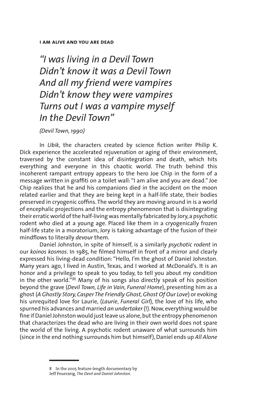### **i am alive and you are dead**

*"I was living in a Devil Town Didn't know it was a Devil Town And all my friend were vampires Didn't know they were vampires Turns out I was a vampire myself In the Devil Town"*

*(Devil Town, 1990)*

In *Ubik*, the characters created by science fiction writer Philip K. Dick experience the accelerated rejuvenation or aging of their environment, traversed by the constant idea of disintegration and death, which hits everything and everyone in this chaotic world. The truth behind this incoherent rampant entropy appears to the hero Joe Chip in the form of a message written in graffiti on a toilet wall: "I am alive and you are dead." Joe Chip realizes that he and his companions died in the accident on the moon related earlier and that they are being kept in a half-life state, their bodies preserved in cryogenic coffins. The world they are moving around in is a world of encephalic projections and the entropy phenomenon that is disintegrating their erratic world of the half-living was mentally fabricated by Jory, a psychotic rodent who died at a young age. Placed like them in a cryogenically frozen half-life state in a moratorium, Jory is taking advantage of the fusion of their mindflows to literally *devour* them.

Daniel Johnston, in spite of himself, is a similarly *psychotic rodent* in our *koinos kosmos*. In 1985, he filmed himself in front of a mirror and clearly expressed his living-dead condition: "Hello, I'm the ghost of Daniel Johnston. Many years ago, I lived in Austin, Texas, and I worked at McDonald's. It is an honor and a privilege to speak to you today, to tell you about my condition in the other world."(8) Many of his songs also directly speak of his position beyond the grave (*Devil Town, Life in Vain, Funeral Home*), presenting him as a ghost (*A Ghostly Story, Casper The Friendly Ghost, Ghost Of Our Love*) or evoking his unrequited love for Laurie, (*Laurie*, *Funeral Girl*), the love of his life, who spurned his advances and married *an undertaker* (!). Now, everything would be fine if Daniel Johnston would just leave us alone, but the entropy phenomenon that characterizes the dead who are living in their own world does not spare the world of the living. A psychotic rodent unaware of what surrounds him (since in the end nothing surrounds him but himself), Daniel ends up *All Alone* 

<sup>8</sup>  In the 2005 feature-length documentary by Jeff Feuerzeig, *The Devil and Daniel Johnston*.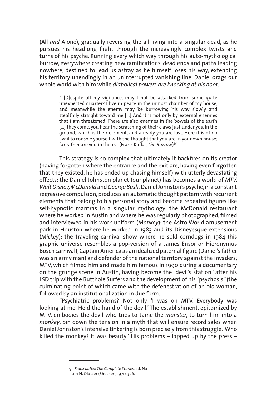(All *and* Alone), gradually reversing the all living into a singular dead, as he pursues his headlong flight through the increasingly complex twists and turns of his psyche. Running every which way through his auto-mythological burrow, everywhere creating new ramifications, dead ends and paths leading nowhere, destined to lead us astray as he himself loses his way, extending his territory unendingly in an uninterrupted vanishing line, Daniel drags our whole world with him while *diabolical powers are knocking at his door*.

" [D]espite all my vigilance, may I not be attacked from some quite unexpected quarter? I live in peace in the inmost chamber of my house, and meanwhile the enemy may be burrowing his way slowly and stealthily straight toward me […] And it is not only by external enemies that I am threatened. There are also enemies in the bowels of the earth [...] they come, you hear the scratching of their claws just under you in the ground, which is their element, and already you are lost. Here it is of no avail to console yourself with the thought that you are in your own house; far rather are you in theirs." (Franz Kafka, *The Burrow*)(9)

This strategy is so complex that ultimately it backfires on its creator (having forgotten where the entrance and the exit are, having even forgotten that they existed, he has ended up chasing himself) with utterly devastating effects: the Daniel Johnston planet (our planet) has becomes a world of *MTV, Walt Disney, McDonald* and *George Bush.* Daniel Johnston's psyche, in a constant regressive compulsion, produces an automatic thought pattern with recurrent elements that belong to his personal story and become repeated figures like self-hypnotic mantras in a singular mythology: the McDonald restaurant where he worked in Austin and where he was regularly photographed, filmed and interviewed in his work uniform (*Monkey*); the Astro World amusement park in Houston where he worked in 1983 and its Disneyesque extensions (*Mickey*); the traveling carnival show where he sold corndogs in 1984 (his graphic universe resembles a pop-version of a James Ensor or Hieronymus Bosch carnival); Captain America as an idealized paternal figure (Daniel's father was an army man) and defender of the national territory against the invaders; MTV, which filmed him and made him famous in 1990 during a documentary on the grunge scene in Austin, having become the "devil's station" after his LSD trip with the Butthole Surfers and the development of his "psychosis" (the culminating point of which came with the defenestration of an old woman, followed by an institutionalization in due form.

"Psychiatric problems? Not only. 'I was on MTV. Everybody was looking at me. Held the hand of the devil.' The establishment, epitomized by MTV, embodies the devil who tries to tame the *monster*, to turn him into a *monkey*, pin down the tension in a myth that will ensure record sales when Daniel Johnston's intensive tinkering is born precisely from this struggle. 'Who killed the monkey? It was beauty*.*' His problems – lapped up by the press –

<sup>9</sup>  *Franz Kafka: The Complete Stories*, ed. Nahum N. Glatzer (Shocken,1971), 326.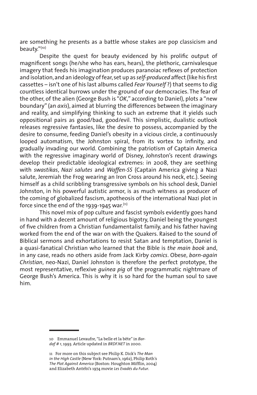are something he presents as a battle whose stakes are pop classicism and beauty."(10)

Despite the quest for beauty evidenced by his prolific output of magnificent songs (he/she who has ears, hears), the plethoric, carnivalesque imagery that feeds his imagination produces paranoiac reflexes of protection and isolation, and an ideology of fear, set up as *self-produced* affect (like his first cassettes – isn't one of his last albums called *Fear Yourself* ?) that seems to dig countless identical burrows under the ground of our democracies. The fear of the other, of the alien (George Bush is "*OK*," according to Daniel), plots a "new boundary" (an *axis*), aimed at blurring the differences between the imaginary and reality, and simplifying thinking to such an extreme that it yields such oppositional pairs as good/bad, good/evil. This simplistic, dualistic outlook releases regressive fantasies, like the desire to possess, accompanied by the desire to consume, feeding Daniel's obesity in a vicious circle, a continuously looped automatism, the Johnston spiral, from its vortex to infinity, and gradually invading our world. Combining the patriotism of Captain America with the regressive imaginary world of Disney, Johnston's recent drawings develop their predictable ideological extremes: in 2008, they are seething with *swastikas*, *Nazi salutes* and *Waffen-SS* (Captain America giving a Nazi salute, Jeremiah the Frog wearing an Iron Cross around his neck, etc.). Seeing himself as a child scribbling transgressive symbols on his school desk, Daniel Johnston, in his powerful autistic armor, is as much witness as producer of the coming of globalized fascism, apotheosis of the international Nazi plot in force since the end of the 1939-1945 war.<sup>(11)</sup>

This novel mix of pop culture and fascist symbols evidently goes hand in hand with a decent amount of religious bigotry, Daniel being the youngest of five children from a Christian fundamentalist family, and his father having worked from the end of the war on with the Quakers. Raised to the sound of Biblical sermons and exhortations to resist Satan and temptation, Daniel is a quasi-fanatical Christian who learned that the Bible is *the main book* and, in any case, reads no others aside from Jack Kirby *comics*. Obese, *born-again Christian*, neo-Nazi, Daniel Johnston is therefore the perfect prototype, the most representative, reflexive *guinea pig* of the programmatic nightmare of George Bush's America. This is why it is so hard for the human soul to save him.

<sup>10</sup>  Emmanuel Levaufre, "La belle et la bête" in *Bar-*

*daf # 1*,1993. Article updated in *BRDF.NET* in 2000.

<sup>11</sup>  For more on this subject see Philip K. Dick's *The Man in the High Castle* (New York: Putnam's,1962), Philip Roth's *The Plot Against America* (Boston: Houghton Mifflin, 2004) and Elizabeth Antébi's 1974 movie *Les Evadés du Futur*.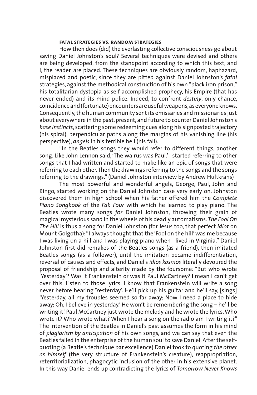## **fatal strategies vs. random strategies**

How then does (did) the everlasting collective consciousness go about saving Daniel Johnston's soul? Several techniques were devised and others are being developed, from the standpoint according to which this text, and I, the reader, are placed. These techniques are obviously random, haphazard, misplaced and poetic, since they are pitted against Daniel Johnston's *fatal* strategies, against the methodical construction of his own "black iron prison," his totalitarian dystopia as self-accomplished prophecy, his Empire (that has never ended) and its mind police. Indeed, to confront *destiny*, only chance, coincidence and (fortunate) encounters are useful weapons, as everyone knows. Consequently, the human community sent its emissaries and missionaries just about everywhere in the past, present, and future to counter Daniel Johnston's *base instincts*, scattering some redeeming cues along his signposted trajectory (his spiral), perpendicular paths along the margins of his vanishing line (his perspective), *angels* in his terrible hell (his fall).

"In the Beatles songs they would refer to different things, another song. Like John Lennon said, 'The walrus was Paul.' I started referring to other songs that I had written and started to make like an epic of songs that were referring to each other. Then the drawings referring to the songs and the songs referring to the drawings." (Daniel Johnston interview by Andrew Hultkrans)

The most powerful and wonderful angels, George, Paul, John and Ringo, started working on the Daniel Johnston case very early on. Johnston discovered them in high school when his father offered him the *Complete Piano Songbook* of the *Fab Four* with which he learned to play piano. The Beatles wrote many songs *for* Daniel Johnston, throwing their grain of magical mysterious sand in the wheels of his deadly automatisms. *The Fool On The Hill* is thus a song for Daniel Johnston (for Jesus too, that perfect *idiot* on Mount Golgotha): "I always thought that the 'Fool on the hill' was me because I was living on a hill and I was playing piano when I lived in Virginia." Daniel Johnston first did remakes of the Beatles songs (as a friend), then imitated Beatles songs (as a follower), until the imitation became indifferentiation, reversal of causes and effects, and Daniel's *idios kosmos* literally devoured the proposal of friendship and alterity made by the foursome: "But who wrote 'Yesterday'? Was it Frankenstein or was it Paul McCartney? I mean I can't get over this. Listen to those lyrics. I know that Frankenstein will write a song never before hearing 'Yesterday'. He'll pick up his guitar and he'll say, [sings] 'Yesterday, all my troubles seemed so far away; Now I need a place to hide away; Oh, I believe in yesterday.' He won't be remembering the song – he'll be writing it! Paul McCartney just wrote the melody and he wrote the lyrics. Who wrote it? Who wrote what? When I hear a song on the radio am I writing it?" The intervention of the Beatles in Daniel's past assumes the form in his mind of *plagiarism by anticipation* of his own songs, and we can say that even the Beatles failed in the enterprise of the human soul to save Daniel. After the selfquoting (a Beatle's technique par excellence) Daniel took to quoting *the other as himself* (the very structure of Frankenstein's creature), reappropriation, reterritorialization, phagocytic inclusion of the other in his extensive planet. In this way Daniel ends up contradicting the lyrics of *Tomorrow Never Knows*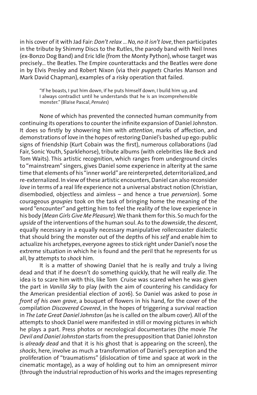in his cover of it with Jad Fair: *Don't relax ... No, no it isn't love*, then participates in the tribute by Shimmy Discs to the Rutles, the parody band with Neil Innes (ex-Bonzo Dog Band) and Eric Idle (from the Monty Python), whose target was precisely... the Beatles. The Empire counterattacks and the Beatles were done in by Elvis Presley and Robert Nixon (via their *puppets* Charles Manson and Mark David Chapman), examples of a risky operation that failed.

"If he boasts, I put him down, if he puts himself down, I build him up, and I always contradict until he understands that he is an incomprehensible monster." (Blaise Pascal, *Pensées*)

None of which has prevented the connected human community from continuing its operations to counter the infinite expansion of Daniel Johnston. It does so firstly by showering him with *attention*, marks of affection, and demonstrations of love in the hopes of restoring Daniel's bashed up ego: public signs of friendship (Kurt Cobain was the first), numerous collaborations (Jad Fair, Sonic Youth, Sparklehorse), tribute albums (with celebrities like Beck and Tom Waits). This artistic recognition, which ranges from underground circles to "mainstream" singers, gives Daniel some experience in alterity at the same time that elements of his "inner world" are reinterpreted, deterritorialized, and re-externalized. In view of these artistic encounters, Daniel can also reconsider *love* in terms of a real life experience not a universal abstract notion (Christian, disembodied, objectless and aimless – and hence a true *perversion*). Some courageous *groupies* took on the task of bringing home the meaning of the word "encounter" and getting him to feel the reality of the love experience in his body (*Mean Girls Give Me Pleasure*). We thank them for this. So much for the *upside* of the interventions of the human soul. As to the *downside*, the *descent*, equally necessary in a equally necessary manipulative rollercoaster dialectic that should bring the monster out of the depths of his *self* and enable him to actualize his archetypes, everyone agrees to stick right under Daniel's nose the extreme situation in which he is found and the peril that he represents for us all, by attempts to *shock* him.

It is a matter of showing Daniel that he is really and truly a living dead and that if he doesn't do something quickly, that he will really *die*. The idea is to scare him with this, like Tom Cruise was scared when he was given the part in *Vanilla Sky* to play (with the aim of countering his candidacy for the American presidential election of 2016). So Daniel was asked to pose *in front of his own grave*, a bouquet of flowers in his hand, for the cover of the compilation *Discovered Covered*, in the hopes of triggering a survival reaction in *The Late Great Daniel Johnston* (as he is called on the album cover). All of the attempts to shock Daniel were manifested in still or moving pictures in which he plays a part. Press photos or necrological documentaries (the movie *The Devil and Daniel Johnston* starts from the presupposition that Daniel Johnston is *already dead* and that it is his ghost that is appearing on the screen), the *shocks*, here, involve as much a transformation of Daniel's perception and the proliferation of "traumatisms" (dislocation of time and space at work in the cinematic montage), as a way of holding out to him an omnipresent mirror (through the industrial reproduction of his works and the images representing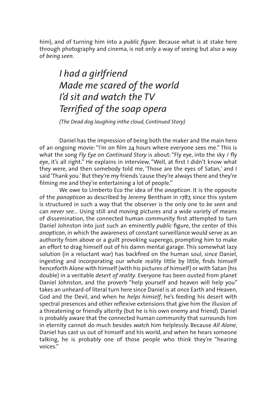him), and of turning him into a *public figure*. Because what is at stake here through photography and cinema, is not only a way of seeing but also a way of *being seen*.

# *I had a girlfriend Made me scared of the world I'd sit and watch the TV Terrified of the soap opera*

*(The Dead dog laughing inthe cloud, Continued Story)*

Daniel has the impression of being both the maker and the main hero of an ongoing movie: "I'm on film 24 hours where everyone sees me." This is what the song *Fly Eye* on *Continued Story* is about: "Fly eye, into the sky / fly eye, it's all right." He explains in interview, "Well, at first I didn't know what they were, and then somebody told me, 'Those are the eyes of Satan,' and I said 'Thank you.' But they're my friends 'cause they're always there and they're filming me and they're entertaining a lot of people."

We owe to Umberto Eco the idea of the *anopticon*. It is the opposite of the *panopticon* as described by Jeremy Bentham in 1787, since this system is structured in such a way that the observer is the only one to *be seen* and can *never see*… Using still and moving pictures and a wide variety of means of dissemination, the connected human community first attempted to turn Daniel Johnston into just such an eminently *public* figure, the center of this *anopticon*, in which the awareness of constant surveillance would serve as an authority from above or a guilt provoking superego, prompting him to make an effort to drag himself out of his damn mental garage. This somewhat lazy solution (in a reluctant war) has backfired on the human soul, since Daniel, ingesting and incorporating our whole reality little by little, finds himself henceforth Alone with himself (with his pictures of himself) or with Satan (his double) in a veritable *desert of reality*. Everyone has been ousted from planet Daniel Johnston, and the proverb "help yourself and heaven will help you" takes an unheard-of literal turn here since Daniel is at once Earth and Heaven, God and the Devil, and when he *helps himself*, he's feeding his desert with spectral presences and other reflexive extensions that give him the illusion of a threatening or friendly alterity (but he is his own enemy and friend). Daniel is probably aware that the connected human community that surrounds him in eternity cannot do much besides *watch* him helplessly. Because *All Alone*, Daniel has cast us out of himself and his world, and when he hears someone talking, he is probably one of those people who think they're "hearing voices."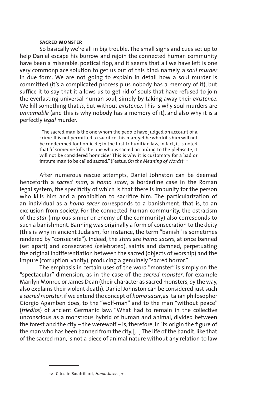### **sacred monster**

So basically we're all in big trouble. The small signs and cues set up to help Daniel escape his burrow and rejoin the connected human community have been a miserable, poetical flop, and it seems that all we have left is one very commonplace solution to get us out of this bind: namely, a *soul murder*  in due form. We are not going to explain in detail how a soul murder is committed (it's a complicated process plus nobody has a memory of it), but suffice it to say that it allows us to get rid of souls that have refused to join the everlasting universal human soul, simply by taking away their *existence*. We kill something that *is*, but without *existence*. This is why soul murders are *unnamable* (and this is why nobody has a memory of it), and also why it is a perfectly *legal* murder.

"The sacred man is the one whom the people have judged on account of a crime. It is not permitted to sacrifice this man, yet he who kills him will not be condemned for homicide; in the first tribunitian law, in fact, it is noted that 'if someone kills the one who is sacred according to the plebiscite, it will not be considered homicide.' This is why it is customary for a bad or impure man to be called sacred." (Festus, *On the Meaning of Words*)<sup>(12)</sup>

After numerous rescue attempts, Daniel Johnston can be deemed henceforth a *sacred man*, a *homo sacer*, a borderline case in the Roman legal system, the specificity of which is that there is impunity for the person who kills him and a prohibition to sacrifice him. The particularization of an individual as a *homo sacer* corresponds to a banishment, that is, to an exclusion from society. For the connected human community, the ostracism of the *star* (impious sinner or enemy of the community) also corresponds to such a banishment. Banning was originally a form of consecration to the deity (this is why in ancient Judaism, for instance, the term "banish" is sometimes rendered by "consecrate"). Indeed, the *stars* are *homo sacers*, at once banned (set apart) and consecrated (celebrated), saints and damned, perpetuating the original indifferentiation between the sacred (objects of worship) and the impure (corruption, vanity), producing a genuinely "sacred horror."

The emphasis in certain uses of the word "monster" is simply on the "spectacular" dimension, as in the case of the *sacred monster*, for example Marilyn Monroe or James Dean (their character as sacred monsters, by the way, also explains their violent death). Daniel Johnston can be considered just such a *sacred monster*, if we extend the concept of *homo sacer*, as Italian philosopher Giorgio Agamben does, to the "wolf-man" and to the man "without peace" (*friedlos*) of ancient Germanic law: "What had to remain in the collective unconscious as a monstrous hybrid of human and animal, divided between the forest and the city – the werewolf – is, therefore, in its origin the figure of the man who has been banned from the city. […] The life of the bandit, like that of the sacred man, is not a piece of animal nature without any relation to law

<sup>12</sup>  Cited in Baudrillard, *Homo Sacer*…, 71.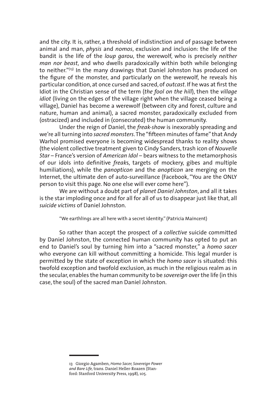and the city. It is, rather, a threshold of indistinction and of passage between animal and man, *physis* and *nomos*, exclusion and inclusion: the life of the bandit is the life of the *loup garou*, the werewolf, who is precisely *neither man nor beast*, and who dwells paradoxically within both while belonging to neither."(13) In the many drawings that Daniel Johnston has produced on the figure of the monster, and particularly on the werewolf, he reveals his particular condition, at once cursed and sacred, of *outcast*. If he was at first the Idiot in the Christian sense of the term (*the fool on the hill*), then the *village idiot* (living on the edges of the village right when the village ceased being a village), Daniel has become a werewolf (between city and forest, culture and nature, human and animal), a sacred monster, paradoxically excluded from (ostracized) and included in (consecrated) the human community.

Under the reign of Daniel, the *freak-show* is inexorably spreading and we're all turning into *sacred monsters*. The "fifteen minutes of fame" that Andy Warhol promised everyone is becoming widespread thanks to reality shows (the violent collective treatment given to Cindy Sanders, trash icon of *Nouvelle Star* – France's version of *American Idol* – bears witness to the metamorphosis of our idols into definitive *freak*s, targets of mockery, gibes and multiple humiliations), while the *panopticon* and the *anopticon* are merging on the Internet, the ultimate den of auto-surveillance (Facebook, "You are the ONLY person to visit this page. No one else will ever come here").

We are without a doubt part of *planet Daniel Johnston*, and all it takes is the star imploding once and for all for all of us to disappear just like that, all *suicide victims* of Daniel Johnston.

"We earthlings are all here with a secret identity." (Patricia Maincent)

So rather than accept the prospect of a *collective* suicide committed by Daniel Johnston, the connected human community has opted to put an end to Daniel's soul by turning him into a "sacred monster," a *homo sacer* who everyone can kill without committing a homicide. This legal murder is permitted by the state of exception in which the *homo sacer* is situated: this twofold exception and twofold exclusion, as much in the religious realm as in the secular, enables the human community to be *sovereign* over the life (in this case, the soul) of the sacred man Daniel Johnston.

<sup>13</sup>  Giorgio Agamben, *Homo Sacer, Sovereign Power and Bare Life,* trans. Daniel Heller-Roazen (Stanford: Stanford University Press, 1998), 105.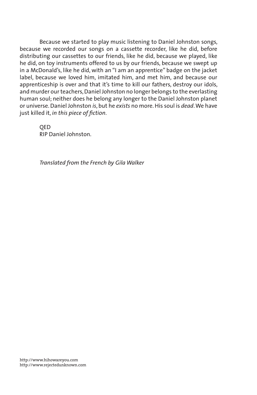Because we started to play music listening to Daniel Johnston songs, because we recorded our songs on a cassette recorder, like he did, before distributing our cassettes to our friends, like he did, because we played, like he did, on toy instruments offered to us by our friends, because we swept up in a McDonald's, like he did, with an "I am an apprentice" badge on the jacket label, because we loved him, imitated him, and met him, and because our apprenticeship is over and that it's time to kill our fathers, destroy our idols, and murder our teachers, Daniel Johnston no longer belongs to the everlasting human soul; neither does he belong any longer to the Daniel Johnston planet or universe. Daniel Johnston *is*, but he *exists* no more. His soul is *dead*. We have just killed it, *in this piece of fiction*.

> QED RIP Daniel Johnston.

*Translated from the French by Gila Walker*